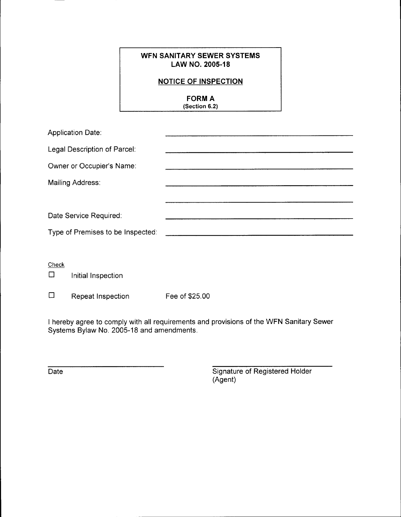#### WFN SANITARY SEWER SYSTEMS LAW NO. 2005-18

#### **NOTICE OF INSPECTION**

**FORM A** (Section 6.2)

| Application Date:                 |  |
|-----------------------------------|--|
| Legal Description of Parcel:      |  |
| Owner or Occupier's Name:         |  |
| Mailing Address:                  |  |
|                                   |  |
| Date Service Required:            |  |
| Type of Premises to be Inspected: |  |
|                                   |  |
| Check                             |  |
|                                   |  |

 $\Box$ Initial Inspection

 $\Box$ Repeat Inspection Fee of \$25.00

I hereby agree to comply with all requirements and provisions of the WFN Sanitary Sewer<br>Systems Bylaw No. 2005-18 and amendments.

Date

Signature of Registered Holder (Agent)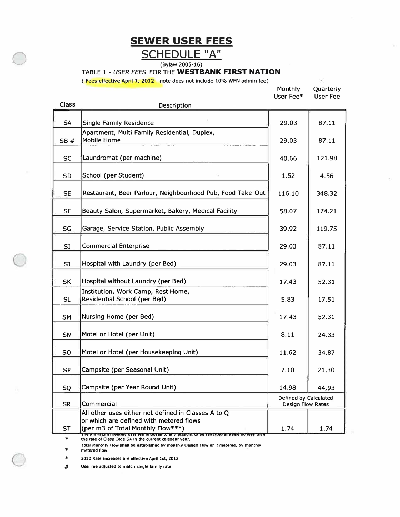## **SEWER USER FEES**

# $**SCHEDULE** "A" (Bylaw 2005-16)$ </u>

#### TABLE 1 - USER FEES FOR THE WESTBANK FIRST NATION

(Fees effective April 1, 2012 - note does not include 10% WFN admin fee)

Monthly Quarterly

| <b>Class</b>   | Description                                                                           | User Fee*                                  | User Fee |
|----------------|---------------------------------------------------------------------------------------|--------------------------------------------|----------|
|                |                                                                                       |                                            |          |
| SA             | Single Family Residence                                                               | 29.03                                      | 87.11    |
| SB#            | Apartment, Multi Family Residential, Duplex,<br><b>Mobile Home</b>                    | 29.03                                      | 87.11    |
|                | Laundromat (per machine)                                                              |                                            |          |
| <b>SC</b>      |                                                                                       | 40.66                                      | 121.98   |
| <b>SD</b>      | School (per Student)                                                                  | 1.52                                       | 4.56     |
| <b>SE</b>      | Restaurant, Beer Parlour, Neighbourhood Pub, Food Take-Out                            | 116.10                                     | 348.32   |
| <b>SF</b>      | Beauty Salon, Supermarket, Bakery, Medical Facility                                   | 58.07                                      | 174.21   |
| SG             | Garage, Service Station, Public Assembly                                              | 39.92                                      | 119.75   |
| SI             | <b>Commercial Enterprise</b>                                                          | 29.03                                      | 87.11    |
| SJ.            | Hospital with Laundry (per Bed)                                                       | 29.03                                      | 87.11    |
| <b>SK</b>      | Hospital without Laundry (per Bed)                                                    | 17.43                                      | 52.31    |
| SL             | Institution, Work Camp, Rest Home,<br>Residential School (per Bed)                    | 5.83                                       | 17.51    |
| SM             | Nursing Home (per Bed)                                                                | 17.43                                      | 52.31    |
| SN             | Motel or Hotel (per Unit)                                                             | 8.11                                       | 24.33    |
| S <sub>O</sub> | Motel or Hotel (per Housekeeping Unit)                                                | 11.62                                      | 34.87    |
| <b>SP</b>      | Campsite (per Seasonal Unit)                                                          | 7.10                                       | 21.30    |
|                |                                                                                       |                                            |          |
| SQ             | Campsite (per Year Round Unit)                                                        | 14.98                                      | 44.93    |
| <b>SR</b>      | Commercial                                                                            | Defined by Calculated<br>Design Flow Rates |          |
|                | All other uses either not defined in Classes A to Q                                   |                                            |          |
| <b>ST</b>      | or which are defined with metered flows<br>(per m3 of Total Monthly Flow***)          | 1.74                                       | 1.74     |
|                | be minimum monthly user tee imposed to any account to be remitted shaaine no less tha |                                            |          |

the rate of Class Code SA In the current calendar year.  $\star$ 

Total Monthly How shall be established by monthly Design How or if metered, by monthly<br>metered flow. ÷

2012 Rate increases are effective April 1st, 2012

User fee adjusted to match single family rate #